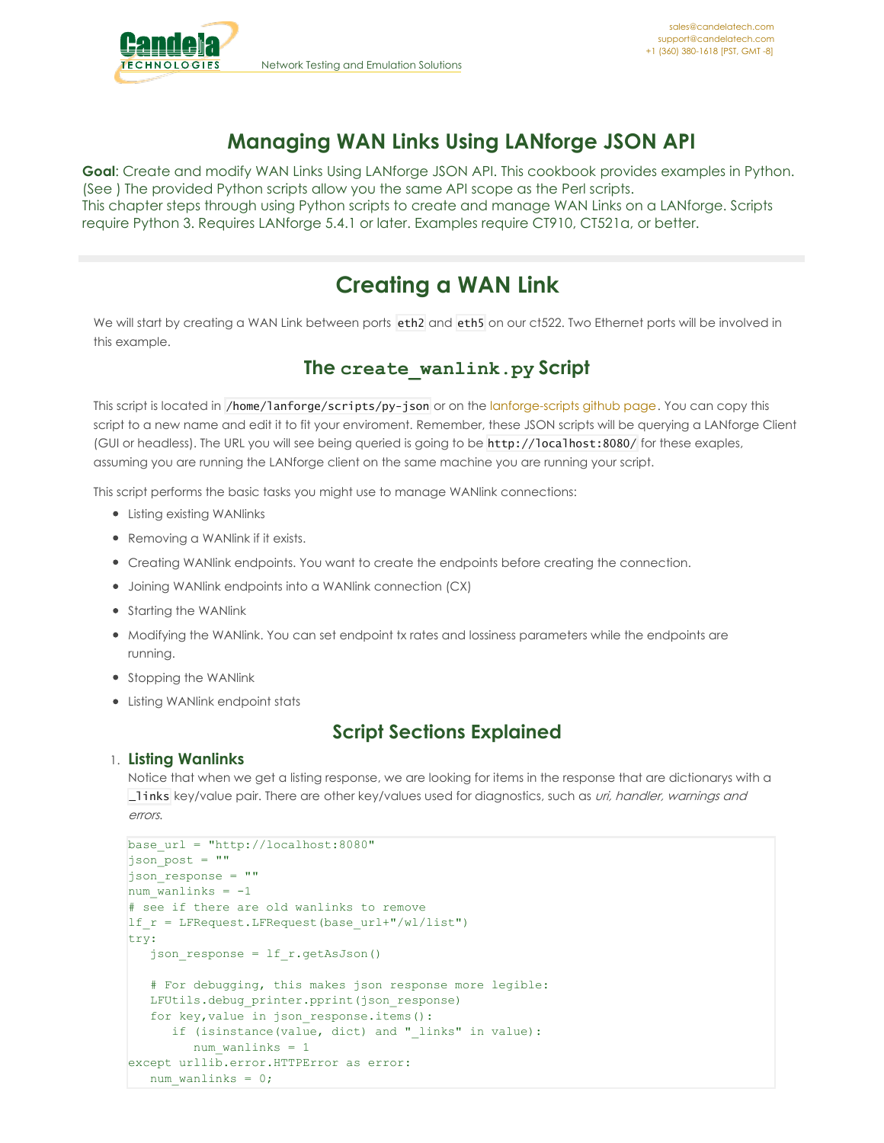# **Managing WAN Links Using LANforge JSON API**

**Goal**: Create and modify WAN Links Using LANforge JSON API. This cookbook provides examples in Python. (See ) The provided Python scripts allow you the same API scope as the Perl scripts. This chapter steps through using Python scripts to create and manage WAN Links on a LANforge. Scripts require Python 3. Requires LANforge 5.4.1 or later. Examples require CT910, CT521a, or better.

# **Creating a WAN Link**

We will start by creating a WAN Link between ports eth2 and eth5 on our ct522. Two Ethernet ports will be involved in this example.

# **The create\_wanlink.py Script**

This script is located in /home/lanforge/scripts/py-json or on the [lanforge-scripts](https://github.com/greearb/lanforge-scripts/blob/master/py-json/create_wanlink.py) github page. You can copy this script to a new name and edit it to fit your enviroment. Remember, these JSON scripts will be querying a LANforge Client (GUI or headless). The URL you will see being queried is going to be http://localhost:8080/ for these exaples, assuming you are running the LANforge client on the same machine you are running your script.

This script performs the basic tasks you might use to manage WANlink connections:

- Listing existing WANlinks
- Removing a WANlink if it exists.
- Creating WANlink endpoints. You want to create the endpoints before creating the connection.
- Joining WANlink endpoints into a WANlink connection (CX)
- Starting the WANlink
- Modifying the WANlink. You can set endpoint tx rates and lossiness parameters while the endpoints are running.
- Stopping the WANlink
- Listing WANlink endpoint stats

# **Script Sections Explained**

# 1. **Listing Wanlinks**

Notice that when we get a listing response, we are looking for items in the response that are dictionarys with a \_links key/value pair. There are other key/values used for diagnostics, such as uri, handler, warnings and errors.

```
base url = "http://localhost:8080"json_post = ""
json_response = ""
hum wanlinks = -1# see if there are old wanlinks to remove
If r = LFRequest.LFRequest(base url+"/wl/list")
try:
   json_response = lf_r.getAsJson()
   # For debugging, this makes json response more legible:
  LFUtils.debug_printer.pprint(json_response)
   for key,value in json_response.items():
     if (isinstance(value, dict) and " links" in value):
        num wanlinks = 1except urllib.error.HTTPError as error:
   num wanlinks = 0;
```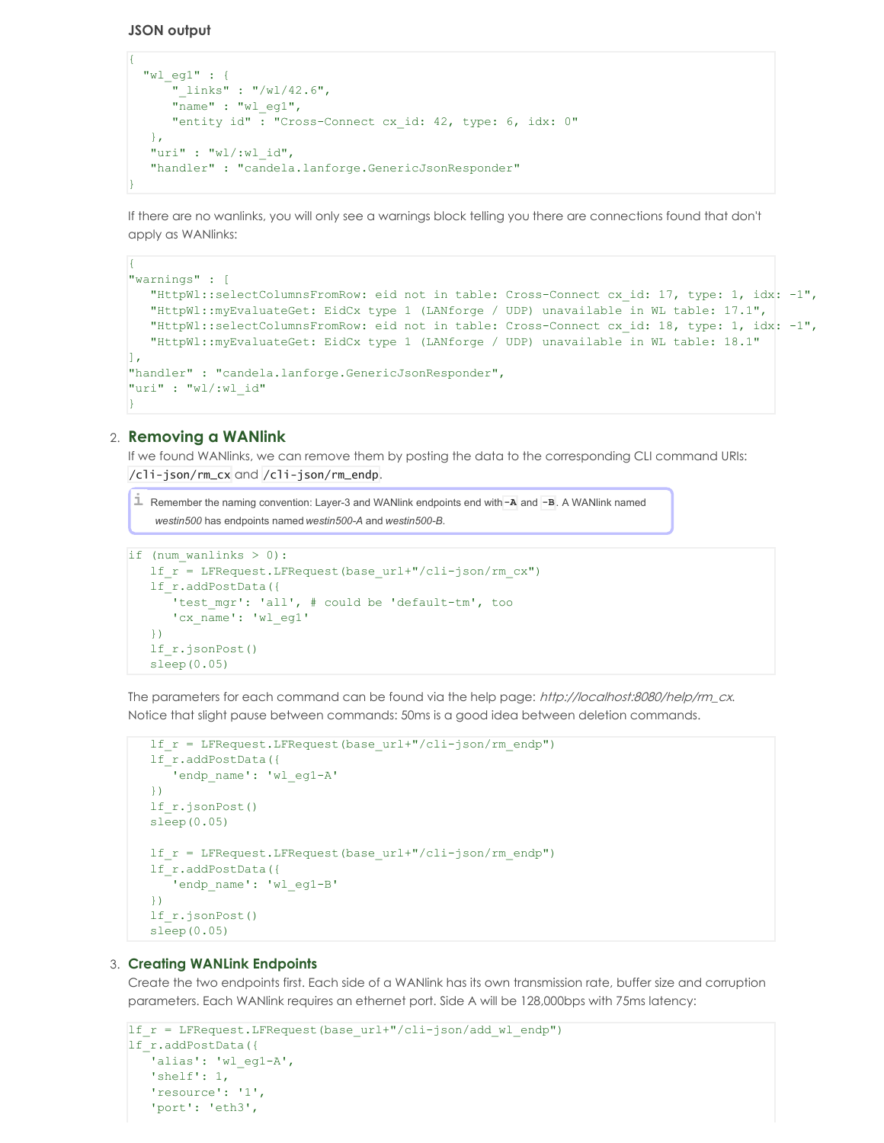**JSON output**

{

```
{
 "wl_eg1" : {
     "_links" : "/wl/42.6",
     "name" : "wl_eg1",
     "entity id" : "Cross-Connect cx_id: 42, type: 6, idx: 0"
  },
  "uri" : "wl/:wl_id",
   "handler" : "candela.lanforge.GenericJsonResponder"
}
```
If there are no wanlinks, you will only see a warnings block telling you there are connections found that don't apply as WANlinks:

```
"warnings" : [
   "HttpWl::selectColumnsFromRow: eid not in table: Cross-Connect cx_id: 17, type: 1, idx: -1",
   "HttpWl::myEvaluateGet: EidCx type 1 (LANforge / UDP) unavailable in WL table: 17.1",
  "HttpWl::selectColumnsFromRow: eid not in table: Cross-Connect cx_id: 18, type: 1, idx: -1",
   "HttpWl::myEvaluateGet: EidCx type 1 (LANforge / UDP) unavailable in WL table: 18.1"
\mathbb{I}.
"handler" : "candela.lanforge.GenericJsonResponder",
"uri" : "wl/:wl_id"
}
```
## 2. **Removing a WANlink**

If we found WANlinks, we can remove them by posting the data to the corresponding CLI command URIs:

/cli-json/rm\_cx and /cli-json/rm\_endp.

```
i Remember the naming convention: Layer-3 and WANlink endpoints end with-A and -B. A WANlink named
    westin500 has endpoints named westin500-A and westin500-B.
```

```
if (num wanlinks > 0):
   lf_r = LFRequest.LFRequest(base_url+"/cli-json/rm_cx")
   lf_r.addPostData({
      'test mgr': 'all', # could be 'default-tm', too
      'cx_name': 'wl_eg1'
   })
   lf_r.jsonPost()
   sleep(0.05)
```
The parameters for each command can be found via the help page: http://localhost:8080/help/rm\_cx. Notice that slight pause between commands: 50ms is a good idea between deletion commands.

```
lf_r = LFRequest.LFRequest(base_url+"/cli-json/rm_endp")
lf_r.addPostData({
   'endp_name': 'wl_eg1-A'
})
lf_r.jsonPost()
sleep(0.05)
lf r = LFRequest.LFRequest(base url+"/cli-json/rm endp")
lf_r.addPostData({
   'endp_name': 'wl_eg1-B'
})
lf_r.jsonPost()
sleep(0.05)
```
#### 3. **Creating WANLink Endpoints**

Create the two endpoints first. Each side of a WANlink has its own transmission rate, buffer size and corruption parameters. Each WANlink requires an ethernet port. Side A will be 128,000bps with 75ms latency:

```
lf r = LFRequest.LFRequest(base url+"/cli-json/add wl endp")
lf_r.addPostData({
   'alias': 'wl eg1-A',
   'shelf': 1,
   'resource': '1',
   'port': 'eth3',
```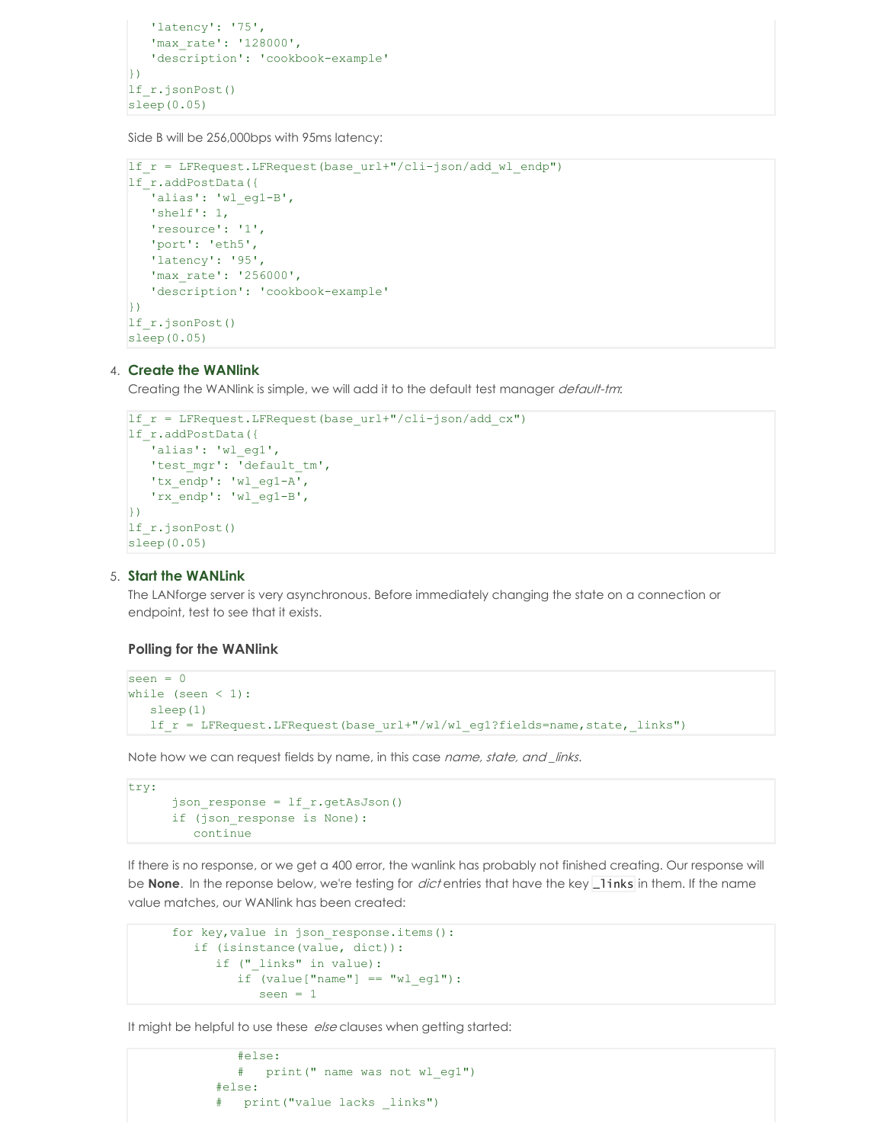```
'latency': '75',
   'max_rate': '128000',
   'description': 'cookbook-example'
| \})
lf_r.jsonPost()
sleep(0.05)
```
Side B will be 256,000bps with 95ms latency:

```
lf_r = LFRequest.LFRequest(base_url+"/cli-json/add wl endp")
lf_r.addPostData({
   'alias': 'wl eg1-B',
   'shelf': 1,
   'resource': '1',
   'port': 'eth5',
   'latency': '95',
  'max_rate': '256000',
  'description': 'cookbook-example'
})
lf_r.jsonPost()
sleep(0.05)
```
#### 4. **Create the WANlink**

Creating the WANlink is simple, we will add it to the default test manager default-tm:

```
lf r = LFRequest.LFRequest(base url+"/cli-json/add cx")
lf_r.addPostData({
   'alias': 'wl eg1',
   'test mgr': 'default tm',
   'tx_endp': 'wl_eg1-A',
   'rx_endp': 'wl_eg1-B',
})
lf_r.jsonPost()
sleep(0.05)
```
#### 5. **Start the WANLink**

The LANforge server is very asynchronous. Before immediately changing the state on a connection or endpoint, test to see that it exists.

#### **Polling for the WANlink**

```
seen = 0while (seen < 1):
  sleep(1)
   lf r = LFRequest.LFRequest(base url+"/wl/wl eq1?fields=name,state, links")
```
Note how we can request fields by name, in this case *name, state, and \_links*.

```
try:
      json_response = lf_r.getAsJson()
      if (json_response is None):
         continue
```
If there is no response, or we get a 400 error, the wanlink has probably not finished creating. Our response will be **None**. In the reponse below, we're testing for *dict* entries that have the key **\_links** in them. If the name value matches, our WANlink has been created:

```
for key, value in json response.items():
  if (isinstance(value, dict)):
     if (" links" in value):
         if (value['name"] == "wl eq1"):
            seen = 1
```
It might be helpful to use these else clauses when getting started:

```
#else:
  # print(" name was not wl_eg1")
#else:
# print("value lacks _links")
```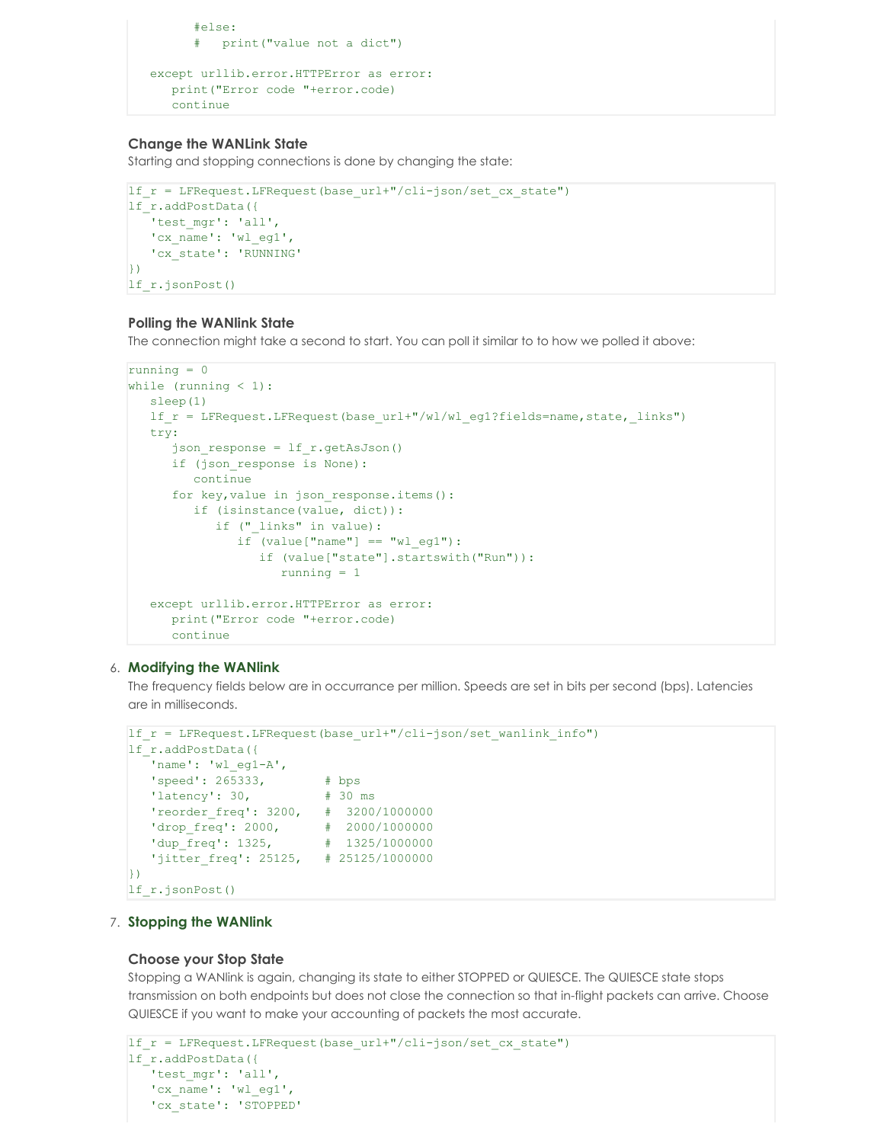```
#else:
      # print("value not a dict")
except urllib.error.HTTPError as error:
   print("Error code "+error.code)
   continue
```
### **Change the WANLink State**

Starting and stopping connections is done by changing the state:

```
lf r = LFRequest.LFRequest(base url+"/cli-json/set cx state")
lf_r.addPostData({
   'test_mgr': 'all',
   'cx_name': 'wl_eg1',
   'cx_state': 'RUNNING'
})
lf_r.jsonPost()
```
# **Polling the WANlink State**

The connection might take a second to start. You can poll it similar to to how we polled it above:

```
running = 0
while (running < 1):
  sleep(1)
  lf r = LFRequest.LFRequest(base url+"/wl/wl eg1?fields=name, state, links")
  try:
      json response = lfr.getAsJson()
     if (json_response is None):
         continue
      for key, value in json response.items():
        if (isinstance(value, dict)):
            if ("_links" in value):
               if (value['name"] == "wl eq1"):
                  if (value["state"].startswith("Run")):
                     running = 1
   except urllib.error.HTTPError as error:
     print("Error code "+error.code)
     continue
```
# 6. **Modifying the WANlink**

The frequency fields below are in occurrance per million. Speeds are set in bits per second (bps). Latencies are in milliseconds.

```
lf r = LFRequest.LFRequest(base url+"/cli-json/set wanlink info")
lf_r.addPostData({
  'name': 'wl eg1-A',
   'speed': 265333, # bps
   'latency': 30, # 30 ms
  'reorder_freq': 3200, # 3200/1000000
   drop freq': 2000, # 2000/1000000
   'dup_freq': 1325, # 1325/1000000
   'jitter_freq': 25125, # 25125/1000000
\left| \cdot \right\ranglelf_r.jsonPost()
```
### 7. **Stopping the WANlink**

#### **Choose your Stop State**

Stopping a WANlink is again, changing its state to either STOPPED or QUIESCE. The QUIESCE state stops transmission on both endpoints but does not close the connection so that in-flight packets can arrive. Choose QUIESCE if you want to make your accounting of packets the most accurate.

```
lf r = LFRequest.LFRequest(base url+"/cli-json/set cx state")
lf_r.addPostData({
   'test mgr': 'all',
   'cx_name': 'wl_eg1',
   'cx_state': 'STOPPED'
```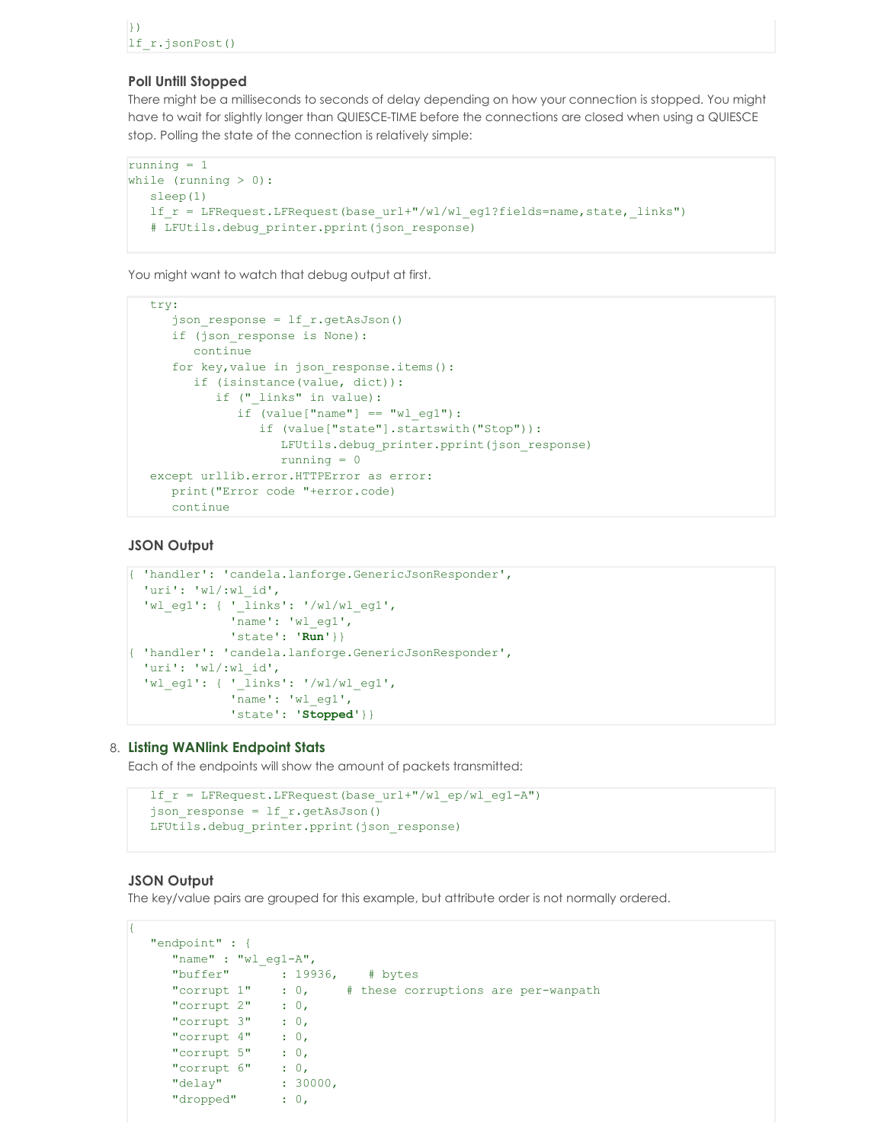#### **Poll Untill Stopped**

There might be a milliseconds to seconds of delay depending on how your connection is stopped. You might have to wait for slightly longer than QUIESCE-TIME before the connections are closed when using a QUIESCE stop. Polling the state of the connection is relatively simple:

```
running = 1
while (running > 0):
  sleep(1)
  lf r = LFRequest.LFRequest(base url+"/wl/wl eg1?fields=name, state, links")
   # LFUtils.debug_printer.pprint(json_response)
```
You might want to watch that debug output at first.

```
try:
  json response = lfr.getAsJson()
  if (json_response is None):
     continue
  for key, value in json response.items():
     if (isinstance(value, dict)):
        if ("_links" in value):
            if (value['name"] == "wl_eq1"):
              if (value["state"].startswith("Stop")):
                 LFUtils.debug_printer.pprint(json_response)
                 running = 0
except urllib.error.HTTPError as error:
  print("Error code "+error.code)
  continue
```
### **JSON Output**

```
{ 'handler': 'candela.lanforge.GenericJsonResponder',
 'uri': 'wl/:wl_id',
  'wl_eg1': { '_links': '/wl/wl_eg1',
              'name': 'wl_eg1',
              'state': 'Run'}}
{ 'handler': 'candela.lanforge.GenericJsonResponder',
 'uri': 'wl/:wl_id',
  'wl_eg1': { '_links': '/wl/wl_eg1',
              'name': 'wl_eg1',
              'state': 'Stopped'}}
```
#### 8. **Listing WANlink Endpoint Stats**

Each of the endpoints will show the amount of packets transmitted:

```
lf r = LFRequest.LFRequest(base url+"/wl ep/wl eg1-A")
json response = lf r.getAsJson()
LFUtils.debug_printer.pprint(json_response)
```
# **JSON Output**

The key/value pairs are grouped for this example, but attribute order is not normally ordered.

```
{
  "endpoint" : {
     "name" : "wl_eg1-A",
     "buffer" : 19936, # bytes<br>"corrupt 1" : 0, # these com
                            # these corruptions are per-wanpath
     "corrupt 2" : 0,"corrupt 3" : 0,
     "corrupt 4" : 0,
     "corrupt 5" : 0,
     "corrupt 6" : 0,
     "delay" : 30000,
     "dropped" : 0,
```